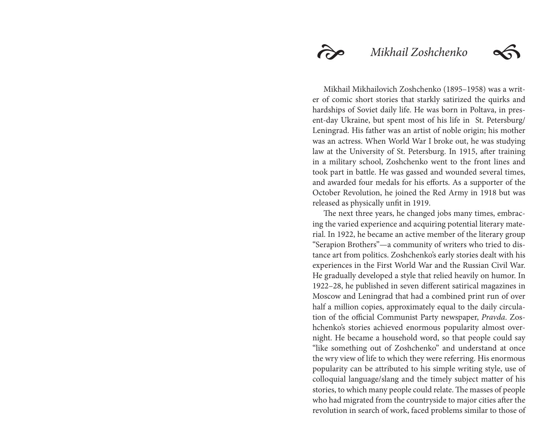$\hat{\sigma}$  Mikhail Zoshchenko *Mikhail Zoshchenko*



The next three years, he changed jobs many times, embracing the varied experience and acquiring potential literary material. In 1922, he became an active member of the literary group "Serapion Brothers"—a community of writers who tried to distance art from politics. Zoshchenko's early stories dealt with his experiences in the First World War and the Russian Civil War. He gradually developed a style that relied heavily on humor. In 1922–28, he published in seven different satirical magazines in Moscow and Leningrad that had a combined print run of over half a million copies, approximately equal to the daily circulation of the official Communist Party newspaper, *Pravda*. Zoshchenko's stories achieved enormous popularity almost overnight. He became a household word, so that people could say "like something out of Zoshchenko" and understand at once the wry view of life to which they were referring. His enormous popularity can be attributed to his simple writing style, use of colloquial language/slang and the timely subject matter of his stories, to which many people could relate. The masses of people who had migrated from the countryside to major cities after the revolution in search of work, faced problems similar to those of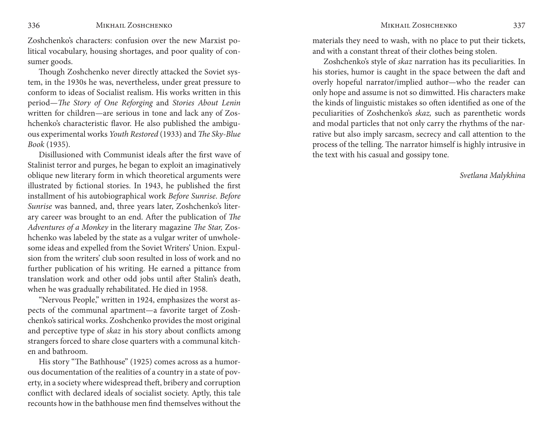#### 336 337 MIKHAIL ZOSHCHENKO

Zoshchenko's characters: confusion over the new Marxist political vocabulary, housing shortages, and poor quality of consumer goods.

Though Zoshchenko never directly attacked the Soviet system, in the 1930s he was, nevertheless, under great pressure to conform to ideas of Socialist realism. His works written in this period—*The Story of One Reforging* and *Stories About Lenin*  written for children—are serious in tone and lack any of Zoshchenko's characteristic flavor. He also published the ambiguous experimental works *Youth Restored* (1933) and *The Sky-Blue Book* (1935).

Disillusioned with Communist ideals after the first wave of Stalinist terror and purges, he began to exploit an imaginatively oblique new literary form in which theoretical arguments were illustrated by fictional stories. In 1943, he published the first installment of his autobiographical work *Before Sunrise*. *Before Sunrise* was banned, and, three years later, Zoshchenko's literary career was brought to an end. After the publication of *The Adventures of a Monkey* in the literary magazine *The Star,* Zoshchenko was labeled by the state as a vulgar writer of unwholesome ideas and expelled from the Soviet Writers' Union. Expulsion from the writers' club soon resulted in loss of work and no further publication of his writing. He earned a pittance from translation work and other odd jobs until after Stalin's death, when he was gradually rehabilitated. He died in 1958.

"Nervous People," written in 1924, emphasizes the worst aspects of the communal apartment—a favorite target of Zoshchenko's satirical works. Zoshchenko provides the most original and perceptive type of *skaz* in his story about conflicts among strangers forced to share close quarters with a communal kitchen and bathroom.

His story "The Bathhouse" (1925) comes across as a humorous documentation of the realities of a country in a state of poverty, in a society where widespread theft, bribery and corruption conflict with declared ideals of socialist society. Aptly, this tale recounts how in the bathhouse men find themselves without the materials they need to wash, with no place to put their tickets, and with a constant threat of their clothes being stolen.

Zoshchenko's style of *skaz* narration has its peculiarities. In his stories, humor is caught in the space between the daft and overly hopeful narrator/implied author—who the reader can only hope and assume is not so dimwitted. His characters make the kinds of linguistic mistakes so often identified as one of the peculiarities of Zoshchenko's *skaz,* such as parenthetic words and modal particles that not only carry the rhythms of the narrative but also imply sarcasm, secrecy and call attention to the process of the telling. The narrator himself is highly intrusive in the text with his casual and gossipy tone.

*Svetlana Malykhina*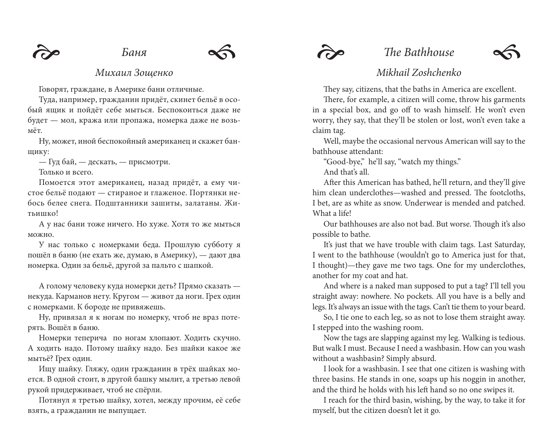

## *Баня*



### *Михаил Зощенко*

Говорят, граждане, в Америке бани отличные.

Туда, например, гражданин придёт, скинет бельё в особый ящик и пойдёт себе мыться. Беспокоиться даже не будет — мол, кража или пропажа, номерка даже не возьмёт.

Ну, может, иной беспокойный американец и скажет банщику:

— Гуд бай, — дескать, — присмотри.

Только и всего.

Помоется этот американец, назад придёт, а ему чистое бельё подают — стираное и глаженое. Портянки небось белее снега. Подштанники зашиты, залатаны. Житьишко!

А у нас бани тоже ничего. Но хуже. Хотя то же мыться можно.

У нас только с номерками беда. Прошлую субботу я пошёл в баню (не ехать же, думаю, в Америку), — дают два номерка. Один за бельё, другой за пальто с шапкой.

А голому человеку куда номерки деть? Прямо сказать некуда. Карманов нету. Кругом — живот да ноги. Грех один с номерками. К бороде не привяжешь.

Ну, привязал я к ногам по номерку, чтоб не враз потерять. Вошёл в баню.

Номерки теперича по ногам хлопают. Ходить скучно. А ходить надо. Потому шайку надо. Без шайки какое же мытьё? Грех один.

Ищу шайку. Гляжу, один гражданин в трёх шайках моется. В одной стоит, в другой башку мылит, а третью левой рукой придерживает, чтоб не спёрли.

Потянул я третью шайку, хотел, между прочим, её себе взять, а гражданин не выпущает.



# $\hat{\sigma}$   $\hat{\sigma}$   $\hat{\sigma}$  The Bathhouse  $\hat{\sigma}$ *The Bathhouse*



## *Mikhail Zoshchenko*

They say, citizens, that the baths in America are excellent.

There, for example, a citizen will come, throw his garments in a special box, and go off to wash himself. He won't even worry, they say, that they'll be stolen or lost, won't even take a claim tag.

Well, maybe the occasional nervous American will say to the bathhouse attendant:

"Good-bye," he'll say, "watch my things."

And that's all.

After this American has bathed, he'll return, and they'll give him clean underclothes—washed and pressed. The footcloths, I bet, are as white as snow. Underwear is mended and patched. What a life!

Our bathhouses are also not bad. But worse. Though it's also possible to bathe.

It's just that we have trouble with claim tags. Last Saturday, I went to the bathhouse (wouldn't go to America just for that, I thought)—they gave me two tags. One for my underclothes, another for my coat and hat.

And where is a naked man supposed to put a tag? I'll tell you straight away: nowhere. No pockets. All you have is a belly and legs. It's always an issue with the tags. Can't tie them to your beard.

So, I tie one to each leg, so as not to lose them straight away. I stepped into the washing room.

Now the tags are slapping against my leg. Walking is tedious. But walk I must. Because I need a washbasin. How can you wash without a washbasin? Simply absurd.

I look for a washbasin. I see that one citizen is washing with three basins. He stands in one, soaps up his noggin in another, and the third he holds with his left hand so no one swipes it.

I reach for the third basin, wishing, by the way, to take it for myself, but the citizen doesn't let it go.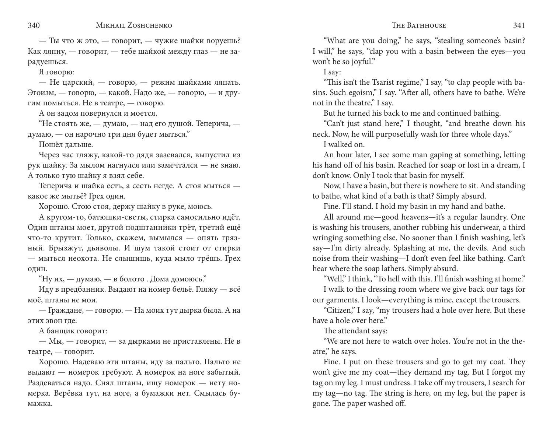— Ты что ж это, — говорит, — чужие шайки воруешь? Как ляпну, — говорит, — тебе шайкой между глаз — не зарадуешься.

Я говорю:

— Не царский, — говорю, — режим шайками ляпать. Эгоизм, — говорю, — какой. Надо же, — говорю, — и другим помыться. Не в театре, — говорю.

А он задом повернулся и моется.

"Не стоять же, — думаю, — над его душой. Теперича, думаю, — он нарочно три дня будет мыться."

Пошёл дальше.

Через час гляжу, какой-то дядя зазевался, выпустил из рук шайку. За мылом нагнулся или замечтался — не знаю. А только тую шайку я взял себе.

Теперича и шайка есть, а сесть негде. А стоя мыться какое же мытьё? Грех один.

Хорошо. Стою стоя, держу шайку в руке, моюсь.

А кругом-то, батюшки-светы, стирка самосильно идёт. Один штаны моет, другой подштанники трёт, третий ещё что-то крутит. Только, скажем, вымылся — опять грязный. Брызжут, дьяволы. И шум такой стоит от стирки — мыться неохота. Не слышишь, куда мыло трёшь. Грех один.

"Ну их, — думаю, — в болото . Дома домоюсь."

Иду в предбанник. Выдают на номер бельё. Гляжу — всё моё, штаны не мои.

— Граждане, — говорю. — На моих тут дырка была. А на этих эвон где.

А банщик говорит:

— Мы, — говорит, — за дырками не приставлены. Не в театре, — говорит.

Хорошо. Надеваю эти штаны, иду за пальто. Пальто не выдают — номерок требуют. А номерок на ноге забытый. Раздеваться надо. Снял штаны, ищу номерок — нету номерка. Верёвка тут, на ноге, а бумажки нет. Смылась бумажка.

"What are you doing," he says, "stealing someone's basin? I will," he says, "clap you with a basin between the eyes—you won't be so joyful."

I say:

"This isn't the Tsarist regime," I say, "to clap people with basins. Such egoism," I say. "After all, others have to bathe. We're not in the theatre," I say.

But he turned his back to me and continued bathing.

"Can't just stand here," I thought, "and breathe down his neck. Now, he will purposefully wash for three whole days."

I walked on.

An hour later, I see some man gaping at something, letting his hand off of his basin. Reached for soap or lost in a dream, I don't know. Only I took that basin for myself.

Now, I have a basin, but there is nowhere to sit. And standing to bathe, what kind of a bath is that? Simply absurd.

Fine. I'll stand. I hold my basin in my hand and bathe.

All around me—good heavens—it's a regular laundry. One is washing his trousers, another rubbing his underwear, a third wringing something else. No sooner than I finish washing, let's say—I'm dirty already. Splashing at me, the devils. And such noise from their washing—I don't even feel like bathing. Can't hear where the soap lathers. Simply absurd.

"Well," I think, "To hell with this. I'll finish washing at home." I walk to the dressing room where we give back our tags for

our garments. I look—everything is mine, except the trousers.

"Citizen," I say, "my trousers had a hole over here. But these have a hole over here"

The attendant says:

"We are not here to watch over holes. You're not in the theatre," he says.

Fine. I put on these trousers and go to get my coat. They won't give me my coat—they demand my tag. But I forgot my tag on my leg. I must undress. I take off my trousers, I search for my tag—no tag. The string is here, on my leg, but the paper is gone. The paper washed off.